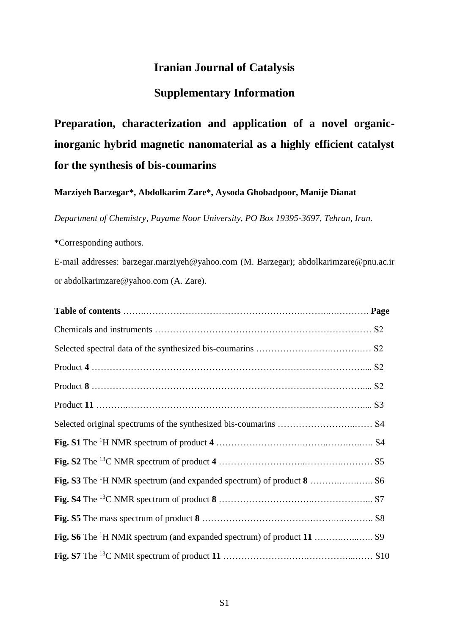# **Iranian Journal of Catalysis**

# **Supplementary Information**

**Preparation, characterization and application of a novel organicinorganic hybrid magnetic nanomaterial as a highly efficient catalyst for the synthesis of bis-coumarins**

**Marziyeh Barzegar\*, Abdolkarim Zare\*, Aysoda Ghobadpoor, Manije Dianat**

*Department of Chemistry, Payame Noor University, PO Box 19395-3697, Tehran, Iran.*

\*Corresponding authors.

E‐mail addresses: barzegar.marziyeh@yahoo.com (M. Barzegar); abdolkarimzare@pnu.ac.ir or abdolkarimzare@yahoo.com (A. Zare).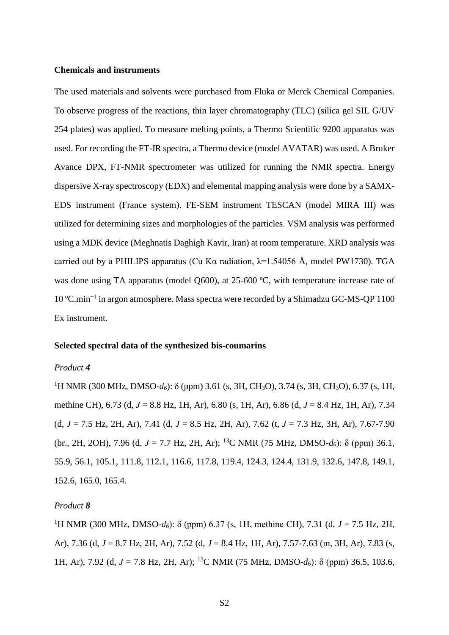#### **Chemicals and instruments**

The used materials and solvents were purchased from Fluka or Merck Chemical Companies. To observe progress of the reactions, thin layer chromatography (TLC) (silica gel SIL G/UV 254 plates) was applied. To measure melting points, a Thermo Scientific 9200 apparatus was used. For recording the FT-IR spectra, a Thermo device (model AVATAR) was used. A Bruker Avance DPX, FT-NMR spectrometer was utilized for running the NMR spectra. Energy dispersive X-ray spectroscopy (EDX) and elemental mapping analysis were done by a SAMX-EDS instrument (France system). [FE-SEM instrument T](https://www.google.com/url?sa=t&rct=j&q=&esrc=s&source=web&cd=1&cad=rja&uact=8&ved=0ahUKEwiCzevqvqPXAhWT0RoKHeoDB-8QFggkMAA&url=http%3A%2F%2Fphotometrics.net%2Ffield-emission-scanning-electron-microscopy-fesem%2F&usg=AOvVaw2hTDBo4fgVAz6qo0V9aKc5)ESCAN (model MIRA III) was utilized for determining sizes and morphologies of the particles. VSM analysis was performed using a MDK device (Meghnatis Daghigh Kavir, Iran) at room temperature. XRD analysis was carried out by a PHILIPS apparatus (Cu K $\alpha$  radiation,  $\lambda$ =1.54056 Å, model PW1730). TGA was done using TA apparatus (model Q600), at 25-600 °C, with temperature increase rate of 10 ºC.min−1 in argon atmosphere. Mass spectra were recorded by a Shimadzu GC-MS-QP 1100 Ex instrument.

#### **Selected spectral data of the synthesized bis-coumarins**

#### *Product 4*

<sup>1</sup>H NMR (300 MHz, DMSO-*d*<sub>6</sub>): δ (ppm) 3.61 (s, 3H, CH<sub>3</sub>O), 3.74 (s, 3H, CH<sub>3</sub>O), 6.37 (s, 1H, methine CH), 6.73 (d, *J* = 8.8 Hz, 1H, Ar), 6.80 (s, 1H, Ar), 6.86 (d, *J* = 8.4 Hz, 1H, Ar), 7.34 (d, *J* = 7.5 Hz, 2H, Ar), 7.41 (d, *J* = 8.5 Hz, 2H, Ar), 7.62 (t, *J* = 7.3 Hz, 3H, Ar), 7.67-7.90 (br., 2H, 2OH), 7.96 (d, *J* = 7.7 Hz, 2H, Ar); <sup>13</sup>C NMR (75 MHz, DMSO-*d6*): δ (ppm) 36.1, 55.9, 56.1, 105.1, 111.8, 112.1, 116.6, 117.8, 119.4, 124.3, 124.4, 131.9, 132.6, 147.8, 149.1, 152.6, 165.0, 165.4.

#### *Product 8*

<sup>1</sup>H NMR (300 MHz, DMSO- $d_6$ ): δ (ppm) 6.37 (s, 1H, methine CH), 7.31 (d, *J* = 7.5 Hz, 2H, Ar), 7.36 (d, *J* = 8.7 Hz, 2H, Ar), 7.52 (d, *J* = 8.4 Hz, 1H, Ar), 7.57-7.63 (m, 3H, Ar), 7.83 (s, 1H, Ar), 7.92 (d, *J* = 7.8 Hz, 2H, Ar); <sup>13</sup>C NMR (75 MHz, DMSO-*d6*): δ (ppm) 36.5, 103.6,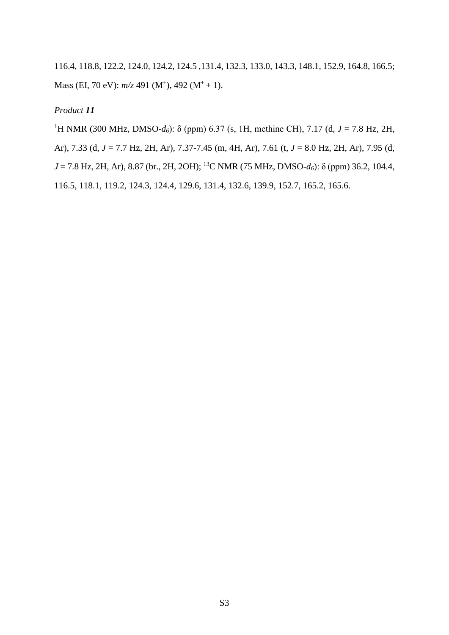116.4, 118.8, 122.2, 124.0, 124.2, 124.5 ,131.4, 132.3, 133.0, 143.3, 148.1, 152.9, 164.8, 166.5; Mass (EI, 70 eV):  $m/z$  491 (M<sup>+</sup>), 492 (M<sup>+</sup> + 1).

## *Product 11*

<sup>1</sup>H NMR (300 MHz, DMSO-*d6*): δ (ppm) 6.37 (s, 1H, methine CH), 7.17 (d, *J* = 7.8 Hz, 2H, Ar), 7.33 (d, *J* = 7.7 Hz, 2H, Ar), 7.37-7.45 (m, 4H, Ar), 7.61 (t, *J* = 8.0 Hz, 2H, Ar), 7.95 (d, *J* = 7.8 Hz, 2H, Ar), 8.87 (br., 2H, 2OH); <sup>13</sup>C NMR (75 MHz, DMSO-*d6*): δ (ppm) 36.2, 104.4, 116.5, 118.1, 119.2, 124.3, 124.4, 129.6, 131.4, 132.6, 139.9, 152.7, 165.2, 165.6.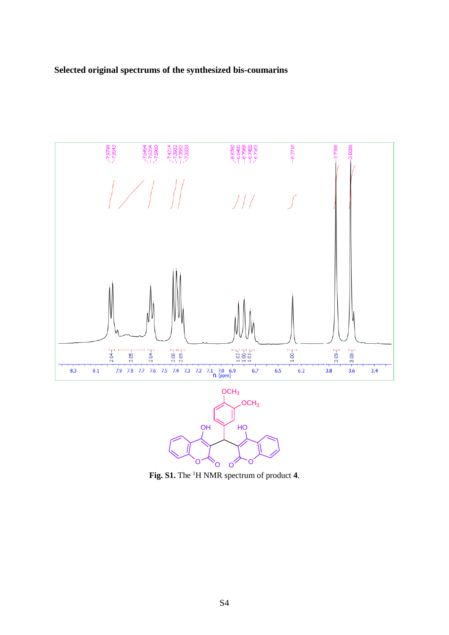## **Selected original spectrums of the synthesized bis-coumarins**



**Fig. S1.** The <sup>1</sup>H NMR spectrum of product **4**.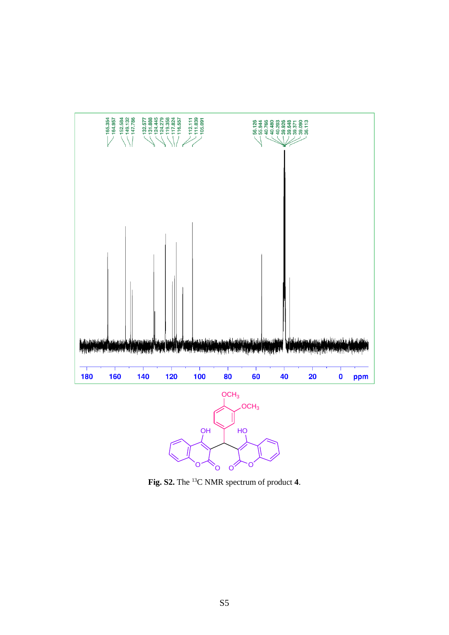

**Fig. S2.** The <sup>13</sup>C NMR spectrum of product **4**.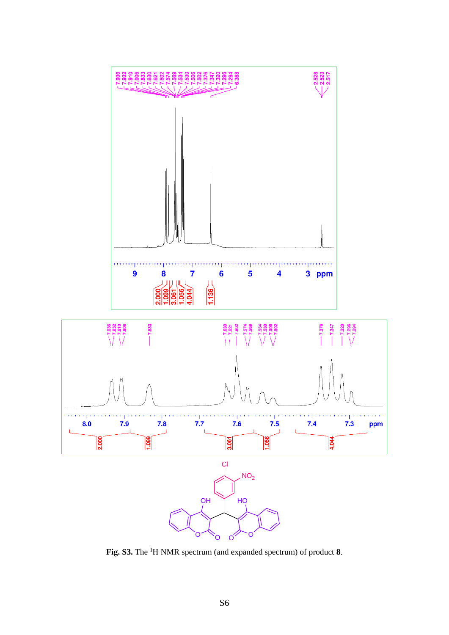

**Fig. S3.** The <sup>1</sup>H NMR spectrum (and expanded spectrum) of product **8**.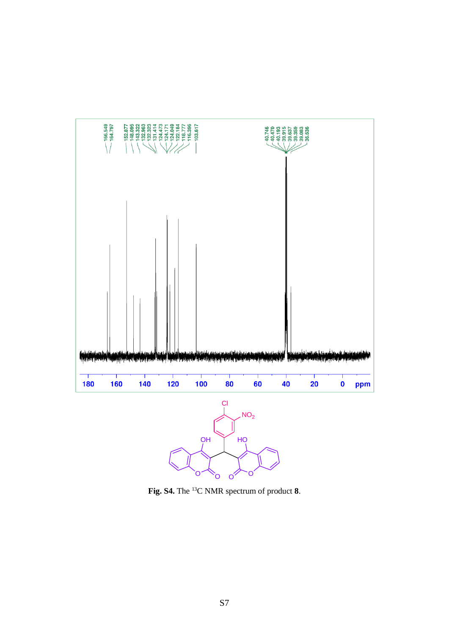

**Fig. S4.** The <sup>13</sup>C NMR spectrum of product **8**.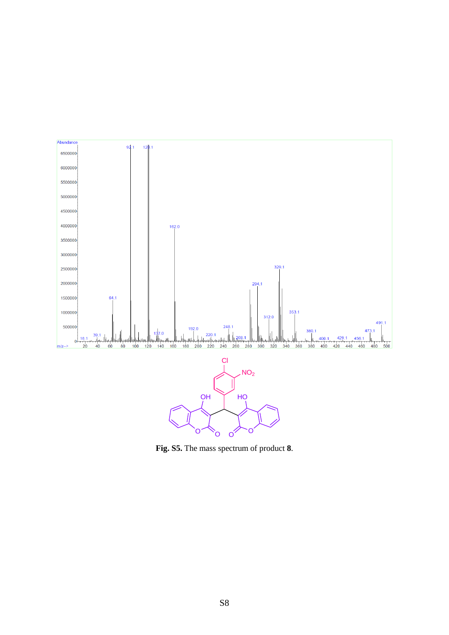

**Fig. S5.** The mass spectrum of product **8**.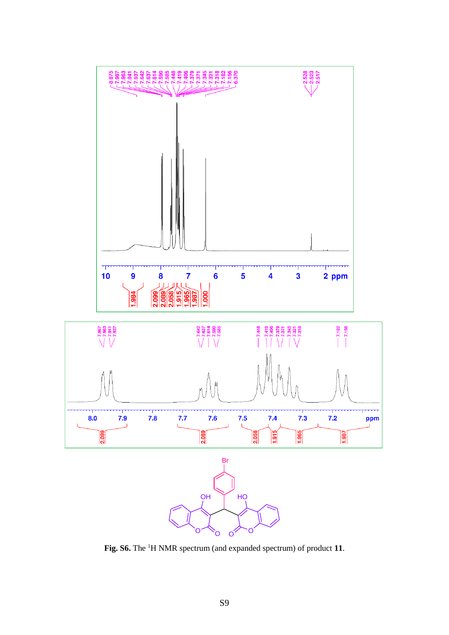

**Fig. S6.** The <sup>1</sup>H NMR spectrum (and expanded spectrum) of product **11**.